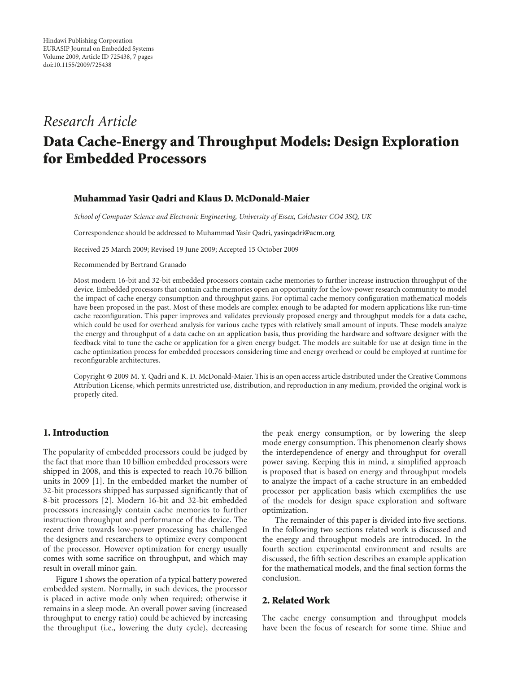# *Research Article*

# **Data Cache-Energy and Throughput Models: Design Exploration for Embedded Processors**

# **Muhammad Yasir Qadri and Klaus D. McDonald-Maier**

*School of Computer Science and Electronic Engineering, University of Essex, Colchester CO4 3SQ, UK*

Correspondence should be addressed to Muhammad Yasir Qadri, yasirqadri@acm.org

Received 25 March 2009; Revised 19 June 2009; Accepted 15 October 2009

Recommended by Bertrand Granado

Most modern 16-bit and 32-bit embedded processors contain cache memories to further increase instruction throughput of the device. Embedded processors that contain cache memories open an opportunity for the low-power research community to model the impact of cache energy consumption and throughput gains. For optimal cache memory configuration mathematical models have been proposed in the past. Most of these models are complex enough to be adapted for modern applications like run-time cache reconfiguration. This paper improves and validates previously proposed energy and throughput models for a data cache, which could be used for overhead analysis for various cache types with relatively small amount of inputs. These models analyze the energy and throughput of a data cache on an application basis, thus providing the hardware and software designer with the feedback vital to tune the cache or application for a given energy budget. The models are suitable for use at design time in the cache optimization process for embedded processors considering time and energy overhead or could be employed at runtime for reconfigurable architectures.

Copyright © 2009 M. Y. Qadri and K. D. McDonald-Maier. This is an open access article distributed under the Creative Commons Attribution License, which permits unrestricted use, distribution, and reproduction in any medium, provided the original work is properly cited.

# **1. Introduction**

The popularity of embedded processors could be judged by the fact that more than 10 billion embedded processors were shipped in 2008, and this is expected to reach 10.76 billion units in 2009 [1]. In the embedded market the number of 32-bit processors shipped has surpassed significantly that of 8-bit processors [2]. Modern 16-bit and 32-bit embedded processors increasingly contain cache memories to further instruction throughput and performance of the device. The recent drive towards low-power processing has challenged the designers and researchers to optimize every component of the processor. However optimization for energy usually comes with some sacrifice on throughput, and which may result in overall minor gain.

Figure 1 shows the operation of a typical battery powered embedded system. Normally, in such devices, the processor is placed in active mode only when required; otherwise it remains in a sleep mode. An overall power saving (increased throughput to energy ratio) could be achieved by increasing the throughput (i.e., lowering the duty cycle), decreasing

the peak energy consumption, or by lowering the sleep mode energy consumption. This phenomenon clearly shows the interdependence of energy and throughput for overall power saving. Keeping this in mind, a simplified approach is proposed that is based on energy and throughput models to analyze the impact of a cache structure in an embedded processor per application basis which exemplifies the use of the models for design space exploration and software optimization.

The remainder of this paper is divided into five sections. In the following two sections related work is discussed and the energy and throughput models are introduced. In the fourth section experimental environment and results are discussed, the fifth section describes an example application for the mathematical models, and the final section forms the conclusion.

# **2. Related Work**

The cache energy consumption and throughput models have been the focus of research for some time. Shiue and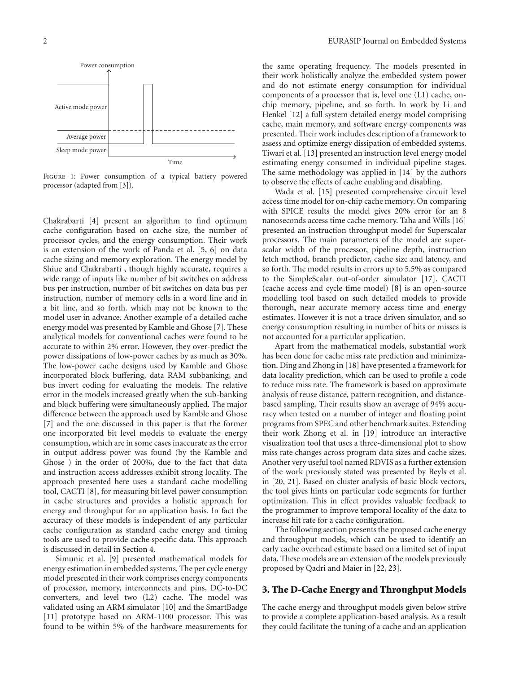

FIGURE 1: Power consumption of a typical battery powered processor (adapted from [3]).

Chakrabarti [4] present an algorithm to find optimum cache configuration based on cache size, the number of processor cycles, and the energy consumption. Their work is an extension of the work of Panda et al. [5, 6] on data cache sizing and memory exploration. The energy model by Shiue and Chakrabarti , though highly accurate, requires a wide range of inputs like number of bit switches on address bus per instruction, number of bit switches on data bus per instruction, number of memory cells in a word line and in a bit line, and so forth. which may not be known to the model user in advance. Another example of a detailed cache energy model was presented by Kamble and Ghose [7]. These analytical models for conventional caches were found to be accurate to within 2% error. However, they over-predict the power dissipations of low-power caches by as much as 30%. The low-power cache designs used by Kamble and Ghose incorporated block buffering, data RAM subbanking, and bus invert coding for evaluating the models. The relative error in the models increased greatly when the sub-banking and block buffering were simultaneously applied. The major difference between the approach used by Kamble and Ghose [7] and the one discussed in this paper is that the former one incorporated bit level models to evaluate the energy consumption, which are in some cases inaccurate as the error in output address power was found (by the Kamble and Ghose ) in the order of 200%, due to the fact that data and instruction access addresses exhibit strong locality. The approach presented here uses a standard cache modelling tool, CACTI [8], for measuring bit level power consumption in cache structures and provides a holistic approach for energy and throughput for an application basis. In fact the accuracy of these models is independent of any particular cache configuration as standard cache energy and timing tools are used to provide cache specific data. This approach is discussed in detail in Section 4.

Simunic et al. [9] presented mathematical models for energy estimation in embedded systems. The per cycle energy model presented in their work comprises energy components of processor, memory, interconnects and pins, DC-to-DC converters, and level two (L2) cache. The model was validated using an ARM simulator [10] and the SmartBadge [11] prototype based on ARM-1100 processor. This was found to be within 5% of the hardware measurements for

the same operating frequency. The models presented in their work holistically analyze the embedded system power and do not estimate energy consumption for individual components of a processor that is, level one (L1) cache, onchip memory, pipeline, and so forth. In work by Li and Henkel [12] a full system detailed energy model comprising cache, main memory, and software energy components was presented. Their work includes description of a framework to assess and optimize energy dissipation of embedded systems. Tiwari et al. [13] presented an instruction level energy model estimating energy consumed in individual pipeline stages. The same methodology was applied in [14] by the authors to observe the effects of cache enabling and disabling.

Wada et al. [15] presented comprehensive circuit level access time model for on-chip cache memory. On comparing with SPICE results the model gives 20% error for an 8 nanoseconds access time cache memory. Taha and Wills [16] presented an instruction throughput model for Superscalar processors. The main parameters of the model are superscalar width of the processor, pipeline depth, instruction fetch method, branch predictor, cache size and latency, and so forth. The model results in errors up to 5.5% as compared to the SimpleScalar out-of-order simulator [17]. CACTI (cache access and cycle time model) [8] is an open-source modelling tool based on such detailed models to provide thorough, near accurate memory access time and energy estimates. However it is not a trace driven simulator, and so energy consumption resulting in number of hits or misses is not accounted for a particular application.

Apart from the mathematical models, substantial work has been done for cache miss rate prediction and minimization. Ding and Zhong in [18] have presented a framework for data locality prediction, which can be used to profile a code to reduce miss rate. The framework is based on approximate analysis of reuse distance, pattern recognition, and distancebased sampling. Their results show an average of 94% accuracy when tested on a number of integer and floating point programs from SPEC and other benchmark suites. Extending their work Zhong et al. in [19] introduce an interactive visualization tool that uses a three-dimensional plot to show miss rate changes across program data sizes and cache sizes. Another very useful tool named RDVIS as a further extension of the work previously stated was presented by Beyls et al. in [20, 21]. Based on cluster analysis of basic block vectors, the tool gives hints on particular code segments for further optimization. This in effect provides valuable feedback to the programmer to improve temporal locality of the data to increase hit rate for a cache configuration.

The following section presents the proposed cache energy and throughput models, which can be used to identify an early cache overhead estimate based on a limited set of input data. These models are an extension of the models previously proposed by Qadri and Maier in [22, 23].

# **3. The D-Cache Energy and Throughput Models**

The cache energy and throughput models given below strive to provide a complete application-based analysis. As a result they could facilitate the tuning of a cache and an application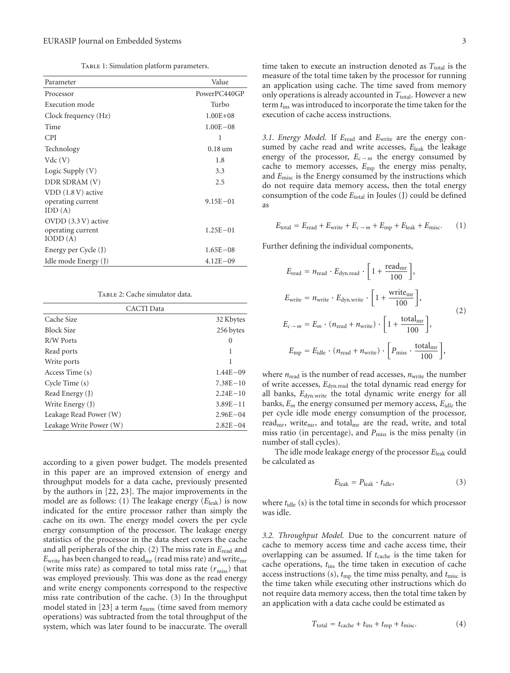TABLE 1: Simulation platform parameters.

| Parameter                                             | Value        |
|-------------------------------------------------------|--------------|
| Processor                                             | PowerPC440GP |
| Execution mode                                        | Turbo        |
| Clock frequency (Hz)                                  | $1.00E + 08$ |
| Time                                                  | $1.00E - 08$ |
| <b>CPI</b>                                            | 1            |
| Technology                                            | $0.18$ um    |
| Vdc(V)                                                | 1.8          |
| Logic Supply $(V)$                                    | 3.3          |
| DDR SDRAM (V)                                         | 2.5          |
| $VDD(1.8 V)$ active<br>operating current<br>IDD(A)    | $9.15E - 01$ |
| $OVDD$ (3.3 V) active<br>operating current<br>IODD(A) | $1.25E - 01$ |
| Energy per Cycle (J)                                  | $1.65E - 08$ |
| Idle mode Energy (J)                                  | $4.12E - 09$ |
|                                                       |              |

TABLE 2: Cache simulator data.

| <b>CACTI</b> Data       |              |  |  |  |
|-------------------------|--------------|--|--|--|
| Cache Size              | 32 Kbytes    |  |  |  |
| <b>Block Size</b>       | 256 bytes    |  |  |  |
| R/W Ports               | 0            |  |  |  |
| Read ports              | 1            |  |  |  |
| Write ports             | 1            |  |  |  |
| Access Time (s)         | $1.44E - 09$ |  |  |  |
| Cycle Time (s)          | $7.38E - 10$ |  |  |  |
| Read Energy (J)         | $2.24E - 10$ |  |  |  |
| Write Energy (J)        | $3.89E - 11$ |  |  |  |
| Leakage Read Power (W)  | $2.96E - 04$ |  |  |  |
| Leakage Write Power (W) | $2.82E - 04$ |  |  |  |

according to a given power budget. The models presented in this paper are an improved extension of energy and throughput models for a data cache, previously presented by the authors in [22, 23]. The major improvements in the model are as follows: (1) The leakage energy (*E*leak) is now indicated for the entire processor rather than simply the cache on its own. The energy model covers the per cycle energy consumption of the processor. The leakage energy statistics of the processor in the data sheet covers the cache and all peripherals of the chip. (2) The miss rate in *E*read and *E*<sub>write</sub> has been changed to read<sub>mr</sub> (read miss rate) and write<sub>mr</sub> (write miss rate) as compared to total miss rate  $(r_{\text{miss}})$  that was employed previously. This was done as the read energy and write energy components correspond to the respective miss rate contribution of the cache. (3) In the throughput model stated in [23] a term  $t_{\text{mem}}$  (time saved from memory operations) was subtracted from the total throughput of the system, which was later found to be inaccurate. The overall

time taken to execute an instruction denoted as  $T<sub>total</sub>$  is the measure of the total time taken by the processor for running an application using cache. The time saved from memory only operations is already accounted in *T*<sub>total</sub>. However a new term *t*ins was introduced to incorporate the time taken for the execution of cache access instructions.

*3.1. Energy Model.* If *E*read and *E*write are the energy consumed by cache read and write accesses,  $E_{\text{leak}}$  the leakage energy of the processor,  $E_{c \to m}$  the energy consumed by cache to memory accesses, *E*mp the energy miss penalty, and *E*misc is the Energy consumed by the instructions which do not require data memory access, then the total energy consumption of the code *E*<sub>total</sub> in Joules (J) could be defined as

$$
E_{\text{total}} = E_{\text{read}} + E_{\text{write}} + E_{c \to m} + E_{\text{mp}} + E_{\text{leak}} + E_{\text{misc}}.
$$
 (1)

Further defining the individual components,

$$
E_{\text{read}} = n_{\text{read}} \cdot E_{\text{dyn.read}} \cdot \left[ 1 + \frac{\text{read}_{\text{mr}}}{100} \right],
$$
  
\n
$$
E_{\text{write}} = n_{\text{write}} \cdot E_{\text{dyn.write}} \cdot \left[ 1 + \frac{\text{write}_{\text{mr}}}{100} \right],
$$
  
\n
$$
E_{c \to m} = E_m \cdot (n_{\text{read}} + n_{\text{write}}) \cdot \left[ 1 + \frac{\text{total}_{\text{mr}}}{100} \right],
$$
  
\n
$$
E_{\text{mp}} = E_{\text{idle}} \cdot (n_{\text{read}} + n_{\text{write}}) \cdot \left[ P_{\text{miss}} \cdot \frac{\text{total}_{\text{mr}}}{100} \right],
$$

where  $n_{\text{read}}$  is the number of read accesses,  $n_{\text{write}}$  the number of write accesses, *E*dyn*.*read the total dynamic read energy for all banks, *E*dyn*.*write the total dynamic write energy for all banks, *Em* the energy consumed per memory access, *Eidle* the per cycle idle mode energy consumption of the processor, read<sub>mr</sub>, write<sub>mr</sub>, and total<sub>mr</sub> are the read, write, and total miss ratio (in percentage), and *P*miss is the miss penalty (in number of stall cycles).

The idle mode leakage energy of the processor *E*leak could be calculated as

$$
E_{\text{leak}} = P_{\text{leak}} \cdot t_{\text{idle}},\tag{3}
$$

where  $t_{\text{idle}}$  (s) is the total time in seconds for which processor was idle.

*3.2. Throughput Model.* Due to the concurrent nature of cache to memory access time and cache access time, their overlapping can be assumed. If  $t_{\text{cache}}$  is the time taken for cache operations, *t*ins the time taken in execution of cache access instructions (s),  $t_{mp}$  the time miss penalty, and  $t_{\text{misc}}$  is the time taken while executing other instructions which do not require data memory access, then the total time taken by an application with a data cache could be estimated as

$$
T_{\text{total}} = t_{\text{cache}} + t_{\text{ins}} + t_{\text{mp}} + t_{\text{misc}}.\tag{4}
$$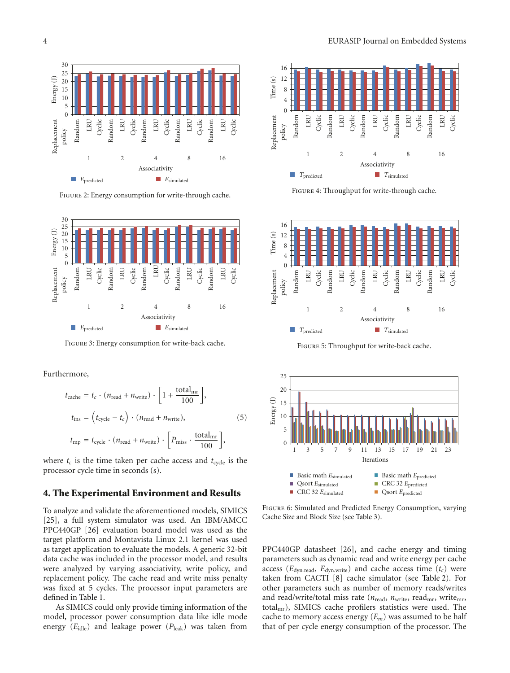

Figure 2: Energy consumption for write-through cache.



Figure 3: Energy consumption for write-back cache.

Furthermore,

$$
t_{\text{cache}} = t_c \cdot (n_{\text{read}} + n_{\text{write}}) \cdot \left[ 1 + \frac{\text{total}_{\text{mr}}}{100} \right],
$$
  
\n
$$
t_{\text{ins}} = \left( t_{\text{cycle}} - t_c \right) \cdot (n_{\text{read}} + n_{\text{write}}),
$$
  
\n
$$
t_{\text{mp}} = t_{\text{cycle}} \cdot (n_{\text{read}} + n_{\text{write}}) \cdot \left[ P_{\text{miss}} \cdot \frac{\text{total}_{\text{mr}}}{100} \right],
$$
\n(5)

where  $t_c$  is the time taken per cache access and  $t_{cycle}$  is the processor cycle time in seconds (s).

#### **4. The Experimental Environment and Results**

To analyze and validate the aforementioned models, SIMICS [25], a full system simulator was used. An IBM/AMCC PPC440GP [26] evaluation board model was used as the target platform and Montavista Linux 2.1 kernel was used as target application to evaluate the models. A generic 32-bit data cache was included in the processor model, and results were analyzed by varying associativity, write policy, and replacement policy. The cache read and write miss penalty was fixed at 5 cycles. The processor input parameters are defined in Table 1.

As SIMICS could only provide timing information of the model, processor power consumption data like idle mode energy ( $E_{\text{idle}}$ ) and leakage power ( $P_{\text{leak}}$ ) was taken from



Figure 4: Throughput for write-through cache.



Figure 5: Throughput for write-back cache.



Figure 6: Simulated and Predicted Energy Consumption, varying Cache Size and Block Size (see Table 3).

PPC440GP datasheet [26], and cache energy and timing parameters such as dynamic read and write energy per cache access ( $E_{dyn.read}$ ,  $E_{dyn.write}$ ) and cache access time ( $t_c$ ) were taken from CACTI [8] cache simulator (see Table 2). For other parameters such as number of memory reads/writes and read/write/total miss rate ( $n_{\text{read}}$ ,  $n_{\text{write}}$ , read<sub>mr</sub>, write<sub>mr</sub>, totalmr), SIMICS cache profilers statistics were used. The cache to memory access energy (*Em*) was assumed to be half that of per cycle energy consumption of the processor. The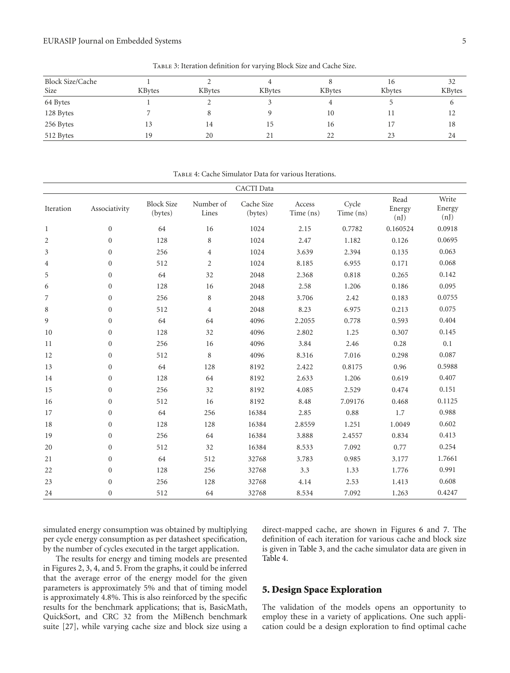| Block Size/Cache |                |        |                |                | 16     | 32             |
|------------------|----------------|--------|----------------|----------------|--------|----------------|
| Size             | <b>KB</b> vtes | KBytes | <b>KB</b> vtes | <b>KB</b> vtes | Kbytes | <b>KB</b> vtes |
| 64 Bytes         |                |        |                |                |        |                |
| 128 Bytes        |                |        |                | 10             |        | 12             |
| 256 Bytes        | 13             | 14     | 15.            | 16             |        | 18             |
| 512 Bytes        | 19             | 20     | 21             | 22             | 23     | 24             |

Table 3: Iteration definition for varying Block Size and Cache Size.

|                | CACTI Data       |                              |                    |                       |                     |                    |                        |                         |
|----------------|------------------|------------------------------|--------------------|-----------------------|---------------------|--------------------|------------------------|-------------------------|
| Iteration      | Associativity    | <b>Block Size</b><br>(bytes) | Number of<br>Lines | Cache Size<br>(bytes) | Access<br>Time (ns) | Cycle<br>Time (ns) | Read<br>Energy<br>(nJ) | Write<br>Energy<br>(nJ) |
| $\mathbf{1}$   | $\overline{0}$   | 64                           | 16                 | 1024                  | 2.15                | 0.7782             | 0.160524               | 0.0918                  |
| $\overline{2}$ | $\overline{0}$   | 128                          | 8                  | 1024                  | 2.47                | 1.182              | 0.126                  | 0.0695                  |
| $\mathfrak z$  | $\mathbf{0}$     | 256                          | $\overline{4}$     | 1024                  | 3.639               | 2.394              | 0.135                  | 0.063                   |
| $\overline{4}$ | $\mathbf{0}$     | 512                          | $\overline{2}$     | 1024                  | 8.185               | 6.955              | 0.171                  | 0.068                   |
| 5              | $\mathbf{0}$     | 64                           | 32                 | 2048                  | 2.368               | 0.818              | 0.265                  | 0.142                   |
| 6              | $\boldsymbol{0}$ | 128                          | 16                 | 2048                  | 2.58                | 1.206              | 0.186                  | 0.095                   |
| 7              | $\overline{0}$   | 256                          | 8                  | 2048                  | 3.706               | 2.42               | 0.183                  | 0.0755                  |
| 8              | $\mathbf{0}$     | 512                          | $\overline{4}$     | 2048                  | 8.23                | 6.975              | 0.213                  | 0.075                   |
| 9              | $\mathbf{0}$     | 64                           | 64                 | 4096                  | 2.2055              | 0.778              | 0.593                  | 0.404                   |
| 10             | $\overline{0}$   | 128                          | 32                 | 4096                  | 2.802               | 1.25               | 0.307                  | 0.145                   |
| 11             | $\mathbf{0}$     | 256                          | 16                 | 4096                  | 3.84                | 2.46               | 0.28                   | 0.1                     |
| 12             | $\mathbf{0}$     | 512                          | 8                  | 4096                  | 8.316               | 7.016              | 0.298                  | 0.087                   |
| 13             | $\mathbf{0}$     | 64                           | 128                | 8192                  | 2.422               | 0.8175             | 0.96                   | 0.5988                  |
| 14             | $\boldsymbol{0}$ | 128                          | 64                 | 8192                  | 2.633               | 1.206              | 0.619                  | 0.407                   |
| 15             | $\overline{0}$   | 256                          | 32                 | 8192                  | 4.085               | 2.529              | 0.474                  | 0.151                   |
| 16             | $\mathbf{0}$     | 512                          | 16                 | 8192                  | 8.48                | 7.09176            | 0.468                  | 0.1125                  |
| 17             | $\mathbf{0}$     | 64                           | 256                | 16384                 | 2.85                | 0.88               | 1.7                    | 0.988                   |
| 18             | $\boldsymbol{0}$ | 128                          | 128                | 16384                 | 2.8559              | 1.251              | 1.0049                 | 0.602                   |
| 19             | $\overline{0}$   | 256                          | 64                 | 16384                 | 3.888               | 2.4557             | 0.834                  | 0.413                   |
| 20             | $\overline{0}$   | 512                          | 32                 | 16384                 | 8.533               | 7.092              | 0.77                   | 0.254                   |
| 21             | $\overline{0}$   | 64                           | 512                | 32768                 | 3.783               | 0.985              | 3.177                  | 1.7661                  |
| 22             | $\mathbf{0}$     | 128                          | 256                | 32768                 | 3.3                 | 1.33               | 1.776                  | 0.991                   |
| 23             | $\overline{0}$   | 256                          | 128                | 32768                 | 4.14                | 2.53               | 1.413                  | 0.608                   |
| 24             | $\overline{0}$   | 512                          | 64                 | 32768                 | 8.534               | 7.092              | 1.263                  | 0.4247                  |

Table 4: Cache Simulator Data for various Iterations.

simulated energy consumption was obtained by multiplying per cycle energy consumption as per datasheet specification, by the number of cycles executed in the target application.

direct-mapped cache, are shown in Figures 6 and 7. The definition of each iteration for various cache and block size is given in Table 3, and the cache simulator data are given in Table 4.

The results for energy and timing models are presented in Figures 2, 3, 4, and 5. From the graphs, it could be inferred that the average error of the energy model for the given parameters is approximately 5% and that of timing model is approximately 4.8%. This is also reinforced by the specific results for the benchmark applications; that is, BasicMath, QuickSort, and CRC 32 from the MiBench benchmark suite [27], while varying cache size and block size using a

### **5. Design Space Exploration**

The validation of the models opens an opportunity to employ these in a variety of applications. One such application could be a design exploration to find optimal cache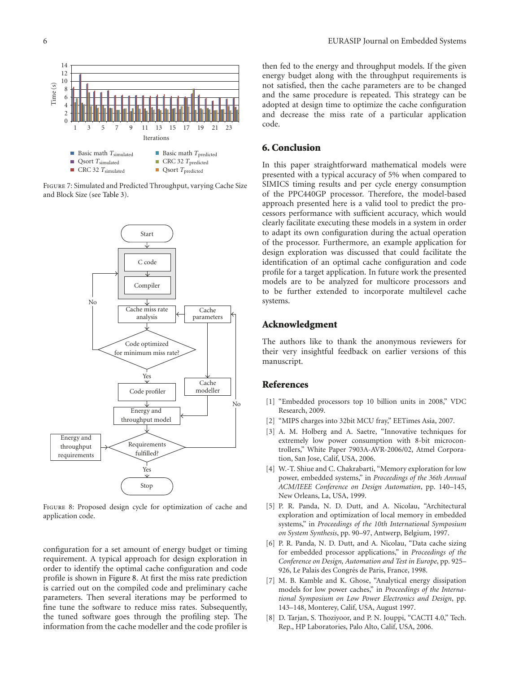





Figure 8: Proposed design cycle for optimization of cache and application code.

configuration for a set amount of energy budget or timing requirement. A typical approach for design exploration in order to identify the optimal cache configuration and code profile is shown in Figure 8. At first the miss rate prediction is carried out on the compiled code and preliminary cache parameters. Then several iterations may be performed to fine tune the software to reduce miss rates. Subsequently, the tuned software goes through the profiling step. The information from the cache modeller and the code profiler is then fed to the energy and throughput models. If the given energy budget along with the throughput requirements is not satisfied, then the cache parameters are to be changed and the same procedure is repeated. This strategy can be adopted at design time to optimize the cache configuration and decrease the miss rate of a particular application code.

#### **6. Conclusion**

In this paper straightforward mathematical models were presented with a typical accuracy of 5% when compared to SIMICS timing results and per cycle energy consumption of the PPC440GP processor. Therefore, the model-based approach presented here is a valid tool to predict the processors performance with sufficient accuracy, which would clearly facilitate executing these models in a system in order to adapt its own configuration during the actual operation of the processor. Furthermore, an example application for design exploration was discussed that could facilitate the identification of an optimal cache configuration and code profile for a target application. In future work the presented models are to be analyzed for multicore processors and to be further extended to incorporate multilevel cache systems.

# **Acknowledgment**

The authors like to thank the anonymous reviewers for their very insightful feedback on earlier versions of this manuscript.

#### **References**

- [1] "Embedded processors top 10 billion units in 2008," VDC Research, 2009.
- [2] "MIPS charges into 32bit MCU fray," EETimes Asia, 2007.
- [3] A. M. Holberg and A. Saetre, "Innovative techniques for extremely low power consumption with 8-bit microcontrollers," White Paper 7903A-AVR-2006/02, Atmel Corporation, San Jose, Calif, USA, 2006.
- [4] W.-T. Shiue and C. Chakrabarti, "Memory exploration for low power, embedded systems," in *Proceedings of the 36th Annual ACM/IEEE Conference on Design Automation*, pp. 140–145, New Orleans, La, USA, 1999.
- [5] P. R. Panda, N. D. Dutt, and A. Nicolau, "Architectural exploration and optimization of local memory in embedded systems," in *Proceedings of the 10th International Symposium on System Synthesis*, pp. 90–97, Antwerp, Belgium, 1997.
- [6] P. R. Panda, N. D. Dutt, and A. Nicolau, "Data cache sizing for embedded processor applications," in *Proceedings of the Conference on Design, Automation and Test in Europe*, pp. 925– 926, Le Palais des Congrés de Paris, France, 1998.
- [7] M. B. Kamble and K. Ghose, "Analytical energy dissipation models for low power caches," in *Proceedings of the International Symposium on Low Power Electronics and Design*, pp. 143–148, Monterey, Calif, USA, August 1997.
- [8] D. Tarjan, S. Thoziyoor, and P. N. Jouppi, "CACTI 4.0," Tech. Rep., HP Laboratories, Palo Alto, Calif, USA, 2006.